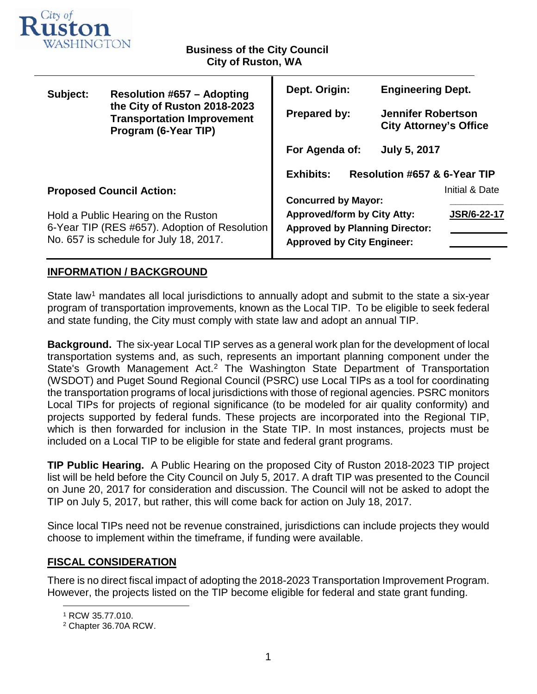

### **Business of the City Council City of Ruston, WA**

| Subject:                                                                             | <b>Resolution #657 - Adopting</b><br>the City of Ruston 2018-2023<br><b>Transportation Improvement</b><br>Program (6-Year TIP) | Dept. Origin:                                    |  | <b>Engineering Dept.</b>                                   |                    |  |
|--------------------------------------------------------------------------------------|--------------------------------------------------------------------------------------------------------------------------------|--------------------------------------------------|--|------------------------------------------------------------|--------------------|--|
|                                                                                      |                                                                                                                                | <b>Prepared by:</b>                              |  | <b>Jennifer Robertson</b><br><b>City Attorney's Office</b> |                    |  |
|                                                                                      |                                                                                                                                | For Agenda of:                                   |  | <b>July 5, 2017</b>                                        |                    |  |
|                                                                                      |                                                                                                                                | <b>Exhibits:</b><br>Resolution #657 & 6-Year TIP |  |                                                            |                    |  |
| <b>Proposed Council Action:</b>                                                      |                                                                                                                                |                                                  |  |                                                            | Initial & Date     |  |
|                                                                                      |                                                                                                                                | <b>Concurred by Mayor:</b>                       |  |                                                            |                    |  |
| Hold a Public Hearing on the Ruston<br>6-Year TIP (RES #657). Adoption of Resolution |                                                                                                                                | <b>Approved/form by City Atty:</b>               |  |                                                            | <b>JSR/6-22-17</b> |  |
|                                                                                      |                                                                                                                                | <b>Approved by Planning Director:</b>            |  |                                                            |                    |  |
|                                                                                      | No. 657 is schedule for July 18, 2017.                                                                                         | <b>Approved by City Engineer:</b>                |  |                                                            |                    |  |
|                                                                                      |                                                                                                                                |                                                  |  |                                                            |                    |  |

# **INFORMATION / BACKGROUND**

State law<sup>[1](#page-0-0)</sup> mandates all local jurisdictions to annually adopt and submit to the state a six-year program of transportation improvements, known as the Local TIP. To be eligible to seek federal and state funding, the City must comply with state law and adopt an annual TIP.

**Background.** The six-year Local TIP serves as a general work plan for the development of local transportation systems and, as such, represents an important planning component under the State's Growth Management Act.<sup>[2](#page-0-1)</sup> The Washington State Department of Transportation (WSDOT) and Puget Sound Regional Council (PSRC) use Local TIPs as a tool for coordinating the transportation programs of local jurisdictions with those of regional agencies. PSRC monitors Local TIPs for projects of regional significance (to be modeled for air quality conformity) and projects supported by federal funds. These projects are incorporated into the Regional TIP, which is then forwarded for inclusion in the State TIP. In most instances, projects must be included on a Local TIP to be eligible for state and federal grant programs.

**TIP Public Hearing.** A Public Hearing on the proposed City of Ruston 2018-2023 TIP project list will be held before the City Council on July 5, 2017. A draft TIP was presented to the Council on June 20, 2017 for consideration and discussion. The Council will not be asked to adopt the TIP on July 5, 2017, but rather, this will come back for action on July 18, 2017.

Since local TIPs need not be revenue constrained, jurisdictions can include projects they would choose to implement within the timeframe, if funding were available.

## **FISCAL CONSIDERATION**

<span id="page-0-0"></span>There is no direct fiscal impact of adopting the 2018-2023 Transportation Improvement Program. However, the projects listed on the TIP become eligible for federal and state grant funding.

 <sup>1</sup> RCW 35.77.010.

<span id="page-0-1"></span><sup>2</sup> Chapter 36.70A RCW.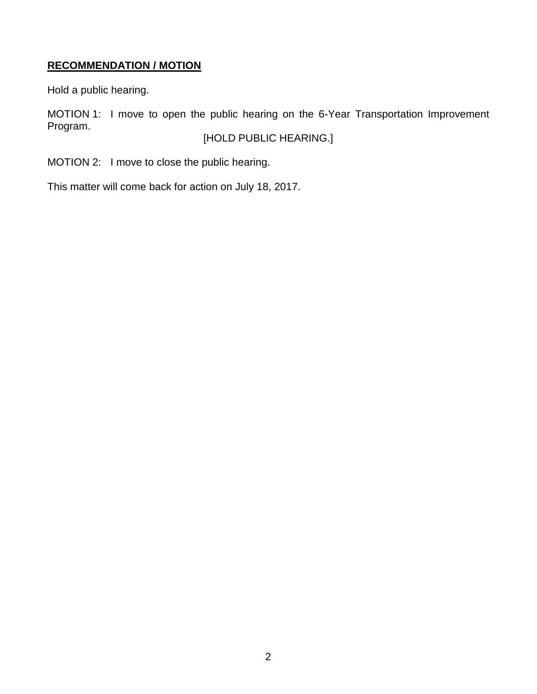# **RECOMMENDATION / MOTION**

Hold a public hearing.

MOTION 1: I move to open the public hearing on the 6-Year Transportation Improvement Program.

[HOLD PUBLIC HEARING.]

MOTION 2: I move to close the public hearing.

This matter will come back for action on July 18, 2017.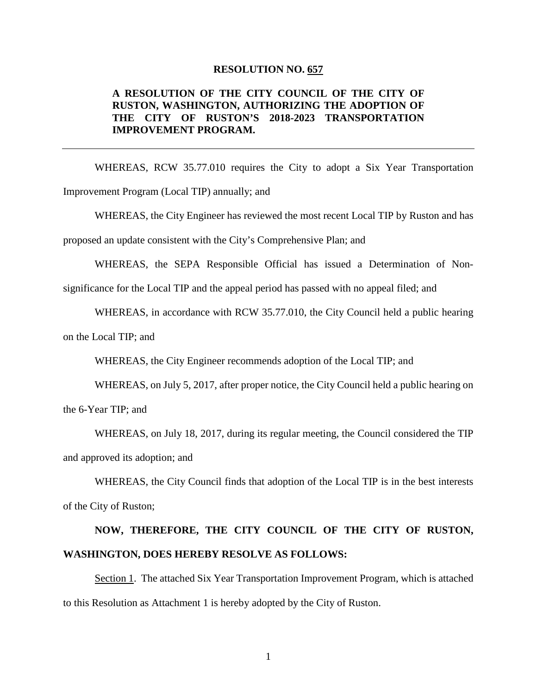#### **RESOLUTION NO. 657**

### **A RESOLUTION OF THE CITY COUNCIL OF THE CITY OF RUSTON, WASHINGTON, AUTHORIZING THE ADOPTION OF THE CITY OF RUSTON'S 2018-2023 TRANSPORTATION IMPROVEMENT PROGRAM.**

WHEREAS, RCW 35.77.010 requires the City to adopt a Six Year Transportation Improvement Program (Local TIP) annually; and

WHEREAS, the City Engineer has reviewed the most recent Local TIP by Ruston and has proposed an update consistent with the City's Comprehensive Plan; and

WHEREAS, the SEPA Responsible Official has issued a Determination of Non-

significance for the Local TIP and the appeal period has passed with no appeal filed; and

WHEREAS, in accordance with RCW 35.77.010, the City Council held a public hearing

on the Local TIP; and

WHEREAS, the City Engineer recommends adoption of the Local TIP; and

WHEREAS, on July 5, 2017, after proper notice, the City Council held a public hearing on the 6-Year TIP; and

WHEREAS, on July 18, 2017, during its regular meeting, the Council considered the TIP and approved its adoption; and

WHEREAS, the City Council finds that adoption of the Local TIP is in the best interests of the City of Ruston;

# **NOW, THEREFORE, THE CITY COUNCIL OF THE CITY OF RUSTON, WASHINGTON, DOES HEREBY RESOLVE AS FOLLOWS:**

Section 1. The attached Six Year Transportation Improvement Program, which is attached to this Resolution as Attachment 1 is hereby adopted by the City of Ruston.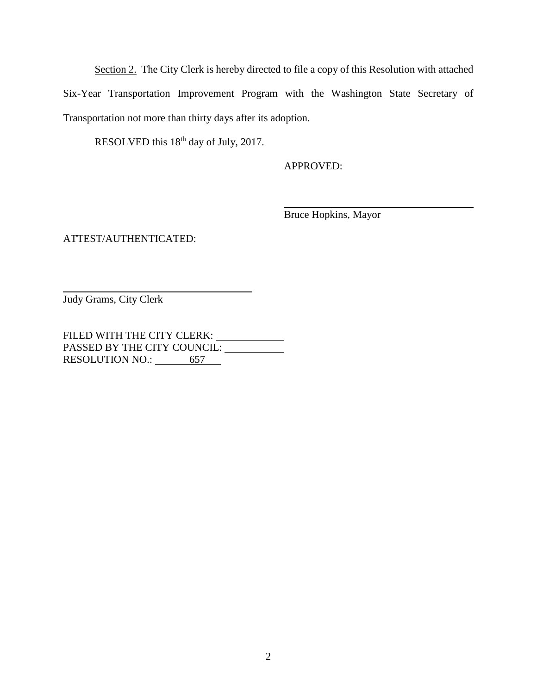Section 2. The City Clerk is hereby directed to file a copy of this Resolution with attached Six-Year Transportation Improvement Program with the Washington State Secretary of Transportation not more than thirty days after its adoption.

RESOLVED this 18<sup>th</sup> day of July, 2017.

APPROVED:

Bruce Hopkins, Mayor

ATTEST/AUTHENTICATED:

Judy Grams, City Clerk

FILED WITH THE CITY CLERK: \_\_\_\_\_\_\_\_\_\_\_\_ PASSED BY THE CITY COUNCIL: RESOLUTION NO.: 657